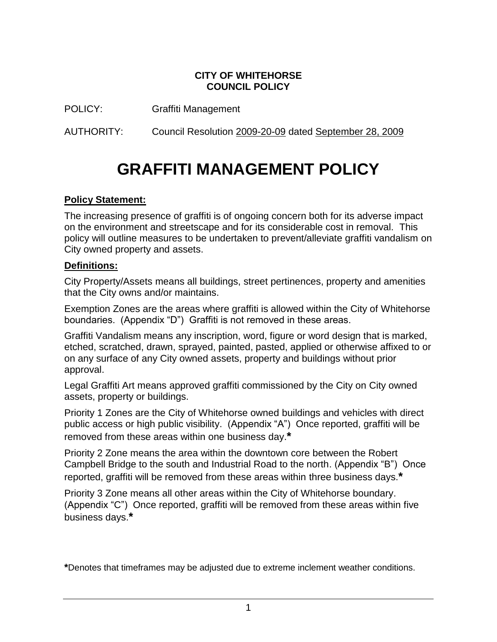#### **CITY OF WHITEHORSE COUNCIL POLICY**

POLICY: Graffiti Management

AUTHORITY: Council Resolution 2009-20-09 dated September 28, 2009

# **GRAFFITI MANAGEMENT POLICY**

#### **Policy Statement:**

The increasing presence of graffiti is of ongoing concern both for its adverse impact on the environment and streetscape and for its considerable cost in removal. This policy will outline measures to be undertaken to prevent/alleviate graffiti vandalism on City owned property and assets.

#### **Definitions:**

City Property/Assets means all buildings, street pertinences, property and amenities that the City owns and/or maintains.

Exemption Zones are the areas where graffiti is allowed within the City of Whitehorse boundaries. (Appendix "D") Graffiti is not removed in these areas.

Graffiti Vandalism means any inscription, word, figure or word design that is marked, etched, scratched, drawn, sprayed, painted, pasted, applied or otherwise affixed to or on any surface of any City owned assets, property and buildings without prior approval.

Legal Graffiti Art means approved graffiti commissioned by the City on City owned assets, property or buildings.

Priority 1 Zones are the City of Whitehorse owned buildings and vehicles with direct public access or high public visibility. (Appendix "A") Once reported, graffiti will be removed from these areas within one business day.**\***

Priority 2 Zone means the area within the downtown core between the Robert Campbell Bridge to the south and Industrial Road to the north. (Appendix "B") Once reported, graffiti will be removed from these areas within three business days.**\***

Priority 3 Zone means all other areas within the City of Whitehorse boundary. (Appendix "C") Once reported, graffiti will be removed from these areas within five business days.**\***

**\***Denotes that timeframes may be adjusted due to extreme inclement weather conditions.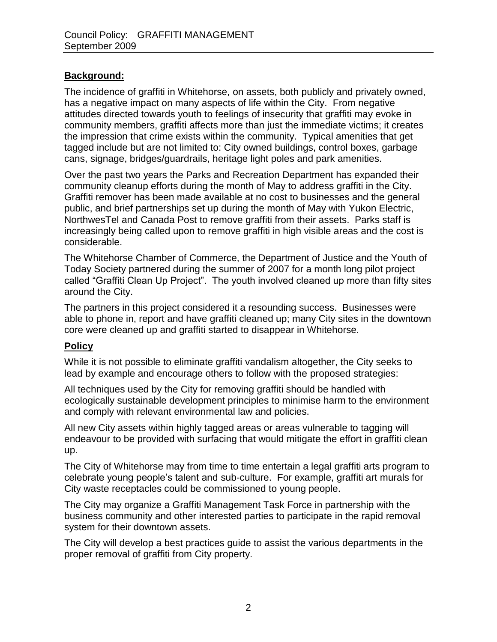# **Background:**

The incidence of graffiti in Whitehorse, on assets, both publicly and privately owned, has a negative impact on many aspects of life within the City. From negative attitudes directed towards youth to feelings of insecurity that graffiti may evoke in community members, graffiti affects more than just the immediate victims; it creates the impression that crime exists within the community. Typical amenities that get tagged include but are not limited to: City owned buildings, control boxes, garbage cans, signage, bridges/guardrails, heritage light poles and park amenities.

Over the past two years the Parks and Recreation Department has expanded their community cleanup efforts during the month of May to address graffiti in the City. Graffiti remover has been made available at no cost to businesses and the general public, and brief partnerships set up during the month of May with Yukon Electric, NorthwesTel and Canada Post to remove graffiti from their assets. Parks staff is increasingly being called upon to remove graffiti in high visible areas and the cost is considerable.

The Whitehorse Chamber of Commerce, the Department of Justice and the Youth of Today Society partnered during the summer of 2007 for a month long pilot project called "Graffiti Clean Up Project". The youth involved cleaned up more than fifty sites around the City.

The partners in this project considered it a resounding success. Businesses were able to phone in, report and have graffiti cleaned up; many City sites in the downtown core were cleaned up and graffiti started to disappear in Whitehorse.

# **Policy**

While it is not possible to eliminate graffiti vandalism altogether, the City seeks to lead by example and encourage others to follow with the proposed strategies:

All techniques used by the City for removing graffiti should be handled with ecologically sustainable development principles to minimise harm to the environment and comply with relevant environmental law and policies.

All new City assets within highly tagged areas or areas vulnerable to tagging will endeavour to be provided with surfacing that would mitigate the effort in graffiti clean up.

The City of Whitehorse may from time to time entertain a legal graffiti arts program to celebrate young people"s talent and sub-culture. For example, graffiti art murals for City waste receptacles could be commissioned to young people.

The City may organize a Graffiti Management Task Force in partnership with the business community and other interested parties to participate in the rapid removal system for their downtown assets.

The City will develop a best practices guide to assist the various departments in the proper removal of graffiti from City property.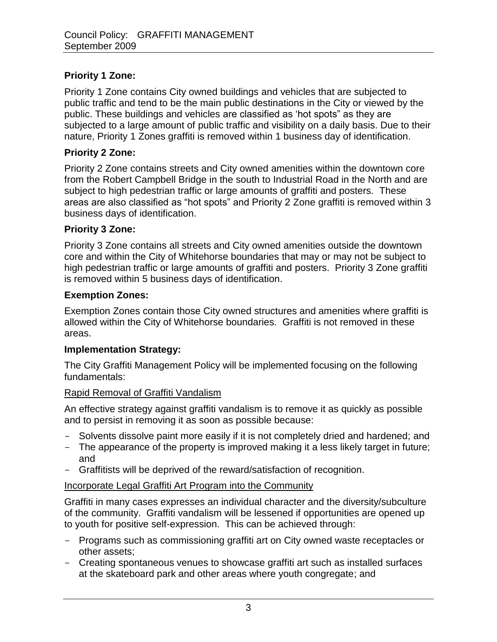# **Priority 1 Zone:**

Priority 1 Zone contains City owned buildings and vehicles that are subjected to public traffic and tend to be the main public destinations in the City or viewed by the public. These buildings and vehicles are classified as "hot spots" as they are subjected to a large amount of public traffic and visibility on a daily basis. Due to their nature, Priority 1 Zones graffiti is removed within 1 business day of identification.

#### **Priority 2 Zone:**

Priority 2 Zone contains streets and City owned amenities within the downtown core from the Robert Campbell Bridge in the south to Industrial Road in the North and are subject to high pedestrian traffic or large amounts of graffiti and posters. These areas are also classified as "hot spots" and Priority 2 Zone graffiti is removed within 3 business days of identification.

#### **Priority 3 Zone:**

Priority 3 Zone contains all streets and City owned amenities outside the downtown core and within the City of Whitehorse boundaries that may or may not be subject to high pedestrian traffic or large amounts of graffiti and posters. Priority 3 Zone graffiti is removed within 5 business days of identification.

#### **Exemption Zones:**

Exemption Zones contain those City owned structures and amenities where graffiti is allowed within the City of Whitehorse boundaries. Graffiti is not removed in these areas.

#### **Implementation Strategy:**

The City Graffiti Management Policy will be implemented focusing on the following fundamentals:

# Rapid Removal of Graffiti Vandalism

An effective strategy against graffiti vandalism is to remove it as quickly as possible and to persist in removing it as soon as possible because:

- Solvents dissolve paint more easily if it is not completely dried and hardened; and
- The appearance of the property is improved making it a less likely target in future; and
- Graffitists will be deprived of the reward/satisfaction of recognition.

# Incorporate Legal Graffiti Art Program into the Community

Graffiti in many cases expresses an individual character and the diversity/subculture of the community. Graffiti vandalism will be lessened if opportunities are opened up to youth for positive self-expression. This can be achieved through:

- Programs such as commissioning graffiti art on City owned waste receptacles or other assets;
- Creating spontaneous venues to showcase graffiti art such as installed surfaces at the skateboard park and other areas where youth congregate; and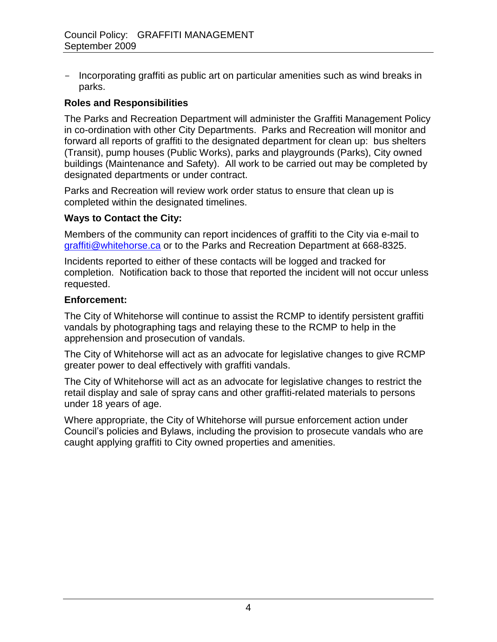- Incorporating graffiti as public art on particular amenities such as wind breaks in parks.

#### **Roles and Responsibilities**

The Parks and Recreation Department will administer the Graffiti Management Policy in co-ordination with other City Departments. Parks and Recreation will monitor and forward all reports of graffiti to the designated department for clean up: bus shelters (Transit), pump houses (Public Works), parks and playgrounds (Parks), City owned buildings (Maintenance and Safety). All work to be carried out may be completed by designated departments or under contract.

Parks and Recreation will review work order status to ensure that clean up is completed within the designated timelines.

#### **Ways to Contact the City:**

Members of the community can report incidences of graffiti to the City via e-mail to [graffiti@whitehorse.ca](mailto:graffiti@whitehorse.ca) or to the Parks and Recreation Department at 668-8325.

Incidents reported to either of these contacts will be logged and tracked for completion. Notification back to those that reported the incident will not occur unless requested.

#### **Enforcement:**

The City of Whitehorse will continue to assist the RCMP to identify persistent graffiti vandals by photographing tags and relaying these to the RCMP to help in the apprehension and prosecution of vandals.

The City of Whitehorse will act as an advocate for legislative changes to give RCMP greater power to deal effectively with graffiti vandals.

The City of Whitehorse will act as an advocate for legislative changes to restrict the retail display and sale of spray cans and other graffiti-related materials to persons under 18 years of age.

Where appropriate, the City of Whitehorse will pursue enforcement action under Council"s policies and Bylaws, including the provision to prosecute vandals who are caught applying graffiti to City owned properties and amenities.